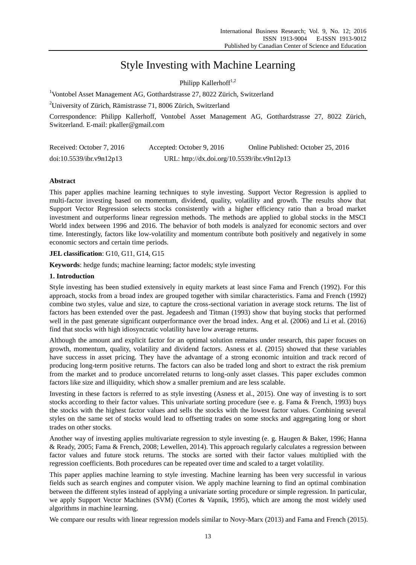# Style Investing with Machine Learning

Philipp Kallerhoff $1,2$ 

<sup>1</sup>Vontobel Asset Management AG, Gotthardstrasse 27, 8022 Zürich, Switzerland

<sup>2</sup>University of Zürich, Rämistrasse 71, 8006 Zürich, Switzerland

Correspondence: Philipp Kallerhoff, Vontobel Asset Management AG, Gotthardstrasse 27, 8022 Zürich, Switzerland. E-mail: pkaller@gmail.com

| Received: October 7, 2016 | Accepted: October 9, 2016                   | Online Published: October 25, 2016 |
|---------------------------|---------------------------------------------|------------------------------------|
| doi:10.5539/ibr.v9n12p13  | URL: http://dx.doi.org/10.5539/ibr.v9n12p13 |                                    |

### **Abstract**

This paper applies machine learning techniques to style investing. Support Vector Regression is applied to multi-factor investing based on momentum, dividend, quality, volatility and growth. The results show that Support Vector Regression selects stocks consistently with a higher efficiency ratio than a broad market investment and outperforms linear regression methods. The methods are applied to global stocks in the MSCI World index between 1996 and 2016. The behavior of both models is analyzed for economic sectors and over time. Interestingly, factors like low-volatility and momentum contribute both positively and negatively in some economic sectors and certain time periods.

**JEL classification**: G10, G11, G14, G15

**Keywords**: hedge funds; machine learning; factor models; style investing

#### **1. Introduction**

Style investing has been studied extensively in equity markets at least since Fama and French (1992). For this approach, stocks from a broad index are grouped together with similar characteristics. Fama and French (1992) combine two styles, value and size, to capture the cross-sectional variation in average stock returns. The list of factors has been extended over the past. Jegadeesh and Titman (1993) show that buying stocks that performed well in the past generate significant outperformance over the broad index. Ang et al. (2006) and Li et al. (2016) find that stocks with high idiosyncratic volatility have low average returns.

Although the amount and explicit factor for an optimal solution remains under research, this paper focuses on growth, momentum, quality, volatility and dividend factors. Asness et al. (2015) showed that these variables have success in asset pricing. They have the advantage of a strong economic intuition and track record of producing long-term positive returns. The factors can also be traded long and short to extract the risk premium from the market and to produce uncorrelated returns to long-only asset classes. This paper excludes common factors like size and illiquidity, which show a smaller premium and are less scalable.

Investing in these factors is referred to as style investing (Asness et al., 2015). One way of investing is to sort stocks according to their factor values. This univariate sorting procedure (see e. g. Fama & French, 1993) buys the stocks with the highest factor values and sells the stocks with the lowest factor values. Combining several styles on the same set of stocks would lead to offsetting trades on some stocks and aggregating long or short trades on other stocks.

Another way of investing applies multivariate regression to style investing (e. g. Haugen & Baker, 1996; Hanna & Ready, 2005; Fama & French, 2008; Lewellen, 2014). This approach regularly calculates a regression between factor values and future stock returns. The stocks are sorted with their factor values multiplied with the regression coefficients. Both procedures can be repeated over time and scaled to a target volatility.

This paper applies machine learning to style investing. Machine learning has been very successful in various fields such as search engines and computer vision. We apply machine learning to find an optimal combination between the different styles instead of applying a univariate sorting procedure or simple regression. In particular, we apply Support Vector Machines (SVM) (Cortes & Vapnik, 1995), which are among the most widely used algorithms in machine learning.

We compare our results with linear regression models similar to Novy-Marx (2013) and Fama and French (2015).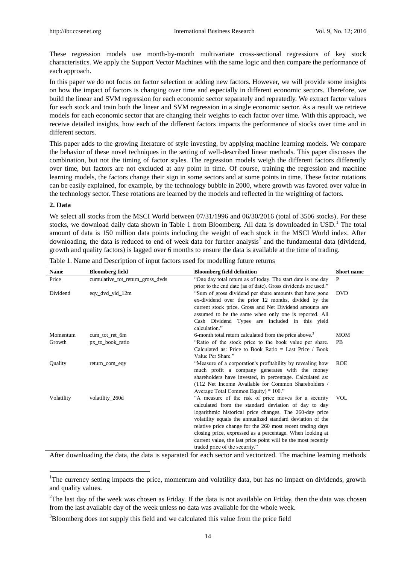These regression models use month-by-month multivariate cross-sectional regressions of key stock characteristics. We apply the Support Vector Machines with the same logic and then compare the performance of each approach.

In this paper we do not focus on factor selection or adding new factors. However, we will provide some insights on how the impact of factors is changing over time and especially in different economic sectors. Therefore, we build the linear and SVM regression for each economic sector separately and repeatedly. We extract factor values for each stock and train both the linear and SVM regression in a single economic sector. As a result we retrieve models for each economic sector that are changing their weights to each factor over time. With this approach, we receive detailed insights, how each of the different factors impacts the performance of stocks over time and in different sectors.

This paper adds to the growing literature of style investing, by applying machine learning models. We compare the behavior of these novel techniques in the setting of well-described linear methods. This paper discusses the combination, but not the timing of factor styles. The regression models weigh the different factors differently over time, but factors are not excluded at any point in time. Of course, training the regression and machine learning models, the factors change their sign in some sectors and at some points in time. These factor rotations can be easily explained, for example, by the technology bubble in 2000, where growth was favored over value in the technology sector. These rotations are learned by the models and reflected in the weighting of factors.

#### **2. Data**

 $\overline{a}$ 

We select all stocks from the MSCI World between  $07/31/1996$  and  $06/30/2016$  (total of 3506 stocks). For these stocks, we download daily data shown in Table 1 from Bloomberg. All data is downloaded in USD.<sup>1</sup> The total amount of data is 150 million data points including the weight of each stock in the MSCI World index. After downloading, the data is reduced to end of week data for further analysis<sup>2</sup> and the fundamental data (dividend, growth and quality factors) is lagged over 6 months to ensure the data is available at the time of trading.

| <b>Name</b> | <b>Bloomberg field</b>           | <b>Bloomberg field definition</b>                                  | <b>Short</b> name |
|-------------|----------------------------------|--------------------------------------------------------------------|-------------------|
| Price       | cumulative_tot_return_gross_dvds | "One day total return as of today. The start date is one day       | P                 |
|             |                                  | prior to the end date (as of date). Gross dividends are used."     |                   |
| Dividend    | eqy_dvd_yld_12m                  | "Sum of gross dividend per share amounts that have gone            | <b>DVD</b>        |
|             |                                  | ex-dividend over the prior 12 months, divided by the               |                   |
|             |                                  | current stock price. Gross and Net Dividend amounts are            |                   |
|             |                                  | assumed to be the same when only one is reported. All              |                   |
|             |                                  | Cash Dividend Types are included in this yield                     |                   |
|             |                                  | calculation."                                                      |                   |
| Momentum    | cum_tot_ret_6m                   | 6-month total return calculated from the price above. <sup>3</sup> | <b>MOM</b>        |
| Growth      | px_to_book_ratio                 | "Ratio of the stock price to the book value per share.             | <b>PB</b>         |
|             |                                  | Calculated as: Price to Book Ratio = Last Price / Book             |                   |
|             |                                  | Value Per Share."                                                  |                   |
| Ouality     | return_com_eqy                   | "Measure of a corporation's profitability by revealing how         | <b>ROE</b>        |
|             |                                  | much profit a company generates with the money                     |                   |
|             |                                  | shareholders have invested, in percentage. Calculated as:          |                   |
|             |                                  | (T12 Net Income Available for Common Shareholders /                |                   |
|             |                                  | Average Total Common Equity) * 100."                               |                   |
| Volatility  | volatility_260d                  | "A measure of the risk of price moves for a security               | <b>VOL</b>        |
|             |                                  | calculated from the standard deviation of day to day               |                   |
|             |                                  | logarithmic historical price changes. The 260-day price            |                   |
|             |                                  | volatility equals the annualized standard deviation of the         |                   |
|             |                                  | relative price change for the 260 most recent trading days         |                   |
|             |                                  | closing price, expressed as a percentage. When looking at          |                   |
|             |                                  | current value, the last price point will be the most recently      |                   |
|             |                                  | traded price of the security."                                     |                   |

Table 1. Name and Description of input factors used for modelling future returns

After downloading the data, the data is separated for each sector and vectorized. The machine learning methods

<sup>&</sup>lt;sup>1</sup>The currency setting impacts the price, momentum and volatility data, but has no impact on dividends, growth and quality values.

 $2^2$ The last day of the week was chosen as Friday. If the data is not available on Friday, then the data was chosen from the last available day of the week unless no data was available for the whole week.

 $3B$ loomberg does not supply this field and we calculated this value from the price field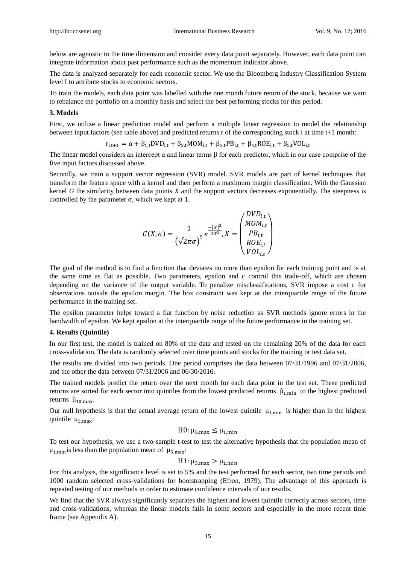below are agnostic to the time dimension and consider every data point separately. However, each data point can integrate information about past performance such as the momentum indicator above.

The data is analyzed separately for each economic sector. We use the Bloomberg Industry Classification System level I to attribute stocks to economic sectors.

To train the models, each data point was labelled with the one month future return of the stock, because we want to rebalance the portfolio on a monthly basis and select the best performing stocks for this period.

#### **3. Models**

First, we utilize a linear prediction model and perform a multiple linear regression to model the relationship between input factors (see table above) and predicted returns r of the corresponding stock i at time t+1 month:

$$
r_{i,t+1} = \alpha + \beta_{1,t} DVD_{i,t} + \beta_{2,t} MOM_{i,t} + \beta_{3,t} PB_{i,t} + \beta_{4,t} ROE_{i,t} + \beta_{5,t} VOL_{i,t}
$$

The linear model considers an intercept  $\alpha$  and linear terms  $\beta$  for each predictor, which in our case comprise of the five input factors discussed above.

Secondly, we train a support vector regression (SVR) model. SVR models are part of kernel techniques that transform the feature space with a kernel and then perform a maximum margin classification. With the Gaussian kernel *G* the similarity between data points *X* and the support vectors decreases exponentially. The steepness is controlled by the parameter  $\sigma$ , which we kept at 1.

$$
G(X, \sigma) = \frac{1}{(\sqrt{2\pi}\sigma)^5} e^{\frac{-|X|^2}{2\sigma^2}}, X = \begin{pmatrix} DVD_{i,t} \\ MOM_{i,t} \\ PB_{i,t} \\ ROE_{i,t} \\ VOL_{i,t} \end{pmatrix}
$$

The goal of the method is to find a function that deviates no more than epsilon for each training point and is at the same time as flat as possible. Two parameters, epsilon and c control this trade-off, which are chosen depending on the variance of the output variable. To penalize misclassifications, SVR impose a cost c for observations outside the epsilon margin. The box constraint was kept at the interquartile range of the future performance in the training set.

The epsilon parameter helps toward a flat function by noise reduction as SVR methods ignore errors in the bandwidth of epsilon. We kept epsilon at the interquartile range of the future performance in the training set.

#### **4. Results (Quintile)**

In our first test, the model is trained on 80% of the data and tested on the remaining 20% of the data for each cross-validation. The data is randomly selected over time points and stocks for the training or test data set.

The results are divided into two periods. One period comprises the data between 07/31/1996 and 07/31/2006, and the other the data between 07/31/2006 and 06/30/2016.

The trained models predict the return over the next month for each data point in the test set. These predicted returns are sorted for each sector into quintiles from the lowest predicted returns  $\hat{\mu}_{1,min}$  to the highest predicted returns  $\hat{\mu}_{10,max}$ .

Our null hypothesis is that the actual average return of the lowest quintile  $\mu_{1,min}$  is higher than in the highest quintile  $\mu_{5\,\text{max}}$ :

H0: 
$$
\mu_{5,max} \leq \mu_{1,min}
$$

To test our hypothesis, we use a two-sample t-test to test the alternative hypothesis that the population mean of  $\mu_{1,\text{min}}$  is less than the population mean of  $\mu_{5,\text{max}}$ .

# H1:  $\mu_{5, max} > \mu_{1, min}$

For this analysis, the significance level is set to 5% and the test performed for each sector, two time periods and 1000 random selected cross-validations for bootstrapping (Efron, 1979). The advantage of this approach is repeated testing of our methods in order to estimate confidence intervals of our results.

We find that the SVR always significantly separates the highest and lowest quintile correctly across sectors, time and cross-validations, whereas the linear models fails in some sectors and especially in the more recent time frame (see Appendix A).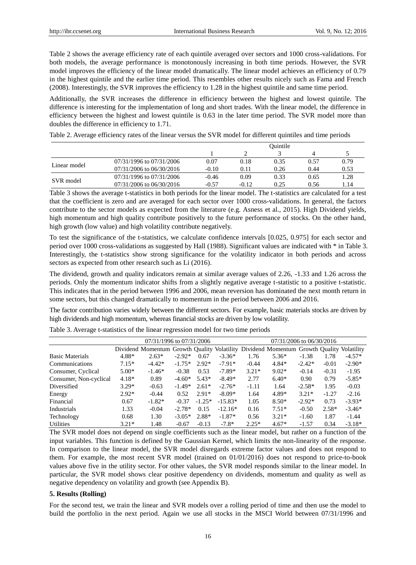Table 2 shows the average efficiency rate of each quintile averaged over sectors and 1000 cross-validations. For both models, the average performance is monotonously increasing in both time periods. However, the SVR model improves the efficiency of the linear model dramatically. The linear model achieves an efficiency of 0.79 in the highest quintile and the earlier time period. This resembles other results nicely such as Fama and French (2008). Interestingly, the SVR improves the efficiency to 1.28 in the highest quintile and same time period.

Additionally, the SVR increases the difference in efficiency between the highest and lowest quintile. The difference is interesting for the implementation of long and short trades. With the linear model, the difference in efficiency between the highest and lowest quintile is 0.63 in the later time period. The SVR model more than doubles the difference in efficiency to 1.71.

|              |                          |         |         | Ouintile |                                              |      |
|--------------|--------------------------|---------|---------|----------|----------------------------------------------|------|
|              |                          |         |         |          |                                              |      |
|              | 07/31/1996 to 07/31/2006 | 0.07    | 0.18    | 0.35     | 0.57                                         | 0.79 |
| Linear model | 07/31/2006 to 06/30/2016 | $-0.10$ | 0.11    | 0.26     | 0.44<br>0.53<br>1.28<br>0.65<br>1.14<br>0.56 |      |
|              | 07/31/1996 to 07/31/2006 | $-0.46$ | 0.09    | 0.33     |                                              |      |
| SVR model    | 07/31/2006 to 06/30/2016 | $-0.57$ | $-0.12$ | 0.25     |                                              |      |

Table 2. Average efficiency rates of the linear versus the SVR model for different quintiles and time periods

Table 3 shows the average t-statistics in both periods for the linear model. The t-statistics are calculated for a test that the coefficient is zero and are averaged for each sector over 1000 cross-validations. In general, the factors contribute to the sector models as expected from the literature (e.g. Asness et al., 2015). High Dividend yields, high momentum and high quality contribute positively to the future performance of stocks. On the other hand, high growth (low value) and high volatility contribute negatively.

To test the significance of the t-statistics, we calculate confidence intervals [0.025, 0.975] for each sector and period over 1000 cross-validations as suggested by Hall (1988). Significant values are indicated with \* in Table 3. Interestingly, the t-statistics show strong significance for the volatility indicator in both periods and across sectors as expected from other research such as Li (2016).

The dividend, growth and quality indicators remain at similar average values of 2.26, -1.33 and 1.26 across the periods. Only the momentum indicator shifts from a slightly negative average t-statistic to a positive t-statistic. This indicates that in the period between 1996 and 2006, mean reversion has dominated the next month return in some sectors, but this changed dramatically to momentum in the period between 2006 and 2016.

The factor contribution varies widely between the different sectors. For example, basic materials stocks are driven by high dividends and high momentum, whereas financial stocks are driven by low volatility.

|                        |         | 07/31/1996 to 07/31/2006                                                                |          |          |           | 07/31/2006 to 06/30/2016 |         |          |         |          |
|------------------------|---------|-----------------------------------------------------------------------------------------|----------|----------|-----------|--------------------------|---------|----------|---------|----------|
|                        |         | Dividend Momentum Growth Quality Volatility Dividend Momentum Growth Quality Volatility |          |          |           |                          |         |          |         |          |
| <b>Basic Materials</b> | 4.88*   | $2.63*$                                                                                 | $-2.92*$ | 0.67     | $-3.36*$  | 1.76                     | $5.36*$ | $-1.38$  | 1.78    | $-4.57*$ |
| Communications         | $7.15*$ | $-4.42*$                                                                                | $-1.75*$ | $2.92*$  | $-7.91*$  | $-0.44$                  | $4.84*$ | $-2.42*$ | $-0.01$ | $-2.90*$ |
| Consumer, Cyclical     | $5.00*$ | $-1.46*$                                                                                | $-0.38$  | 0.53     | $-7.89*$  | $3.21*$                  | $9.02*$ | $-0.14$  | $-0.31$ | $-1.95$  |
| Consumer, Non-cyclical | $4.18*$ | 0.89                                                                                    | $-4.60*$ | $5.43*$  | $-8.49*$  | 2.77                     | $6.40*$ | 0.90     | 0.79    | $-5.85*$ |
| Diversified            | $3.29*$ | $-0.63$                                                                                 | $-1.49*$ | $2.61*$  | $-2.76*$  | $-1.11$                  | 1.64    | $-2.58*$ | 1.95    | $-0.03$  |
| Energy                 | $2.92*$ | $-0.44$                                                                                 | 0.52     | $2.91*$  | $-8.09*$  | 1.64                     | 4.89*   | $3.21*$  | $-1.27$ | $-2.16$  |
| Financial              | 0.67    | $-1.82*$                                                                                | $-0.37$  | $-1.25*$ | $-15.83*$ | 1.05                     | $8.50*$ | $-2.92*$ | 0.73    | $-3.93*$ |
| Industrials            | 1.33    | $-0.04$                                                                                 | $-2.78*$ | 0.15     | $-12.16*$ | 0.16                     | $7.51*$ | $-0.50$  | $2.58*$ | $-3.46*$ |
| Technology             | 0.68    | 1.30                                                                                    | $-3.05*$ | $2.88*$  | $-1.87*$  | 0.56                     | $3.21*$ | $-1.60$  | 1.87    | $-1.44$  |
| <b>Utilities</b>       | $3.21*$ | 1.48                                                                                    | $-0.67$  | $-0.13$  | $-7.8*$   | $2.25*$                  | $4.67*$ | $-1.57$  | 0.34    | $-3.18*$ |

Table 3. Average t-statistics of the linear regression model for two time periods

The SVR model does not depend on single coefficients such as the linear model, but rather on a function of the input variables. This function is defined by the Gaussian Kernel, which limits the non-linearity of the response. In comparison to the linear model, the SVR model disregards extreme factor values and does not respond to them. For example, the most recent SVR model (trained on 01/01/2016) does not respond to price-to-book values above five in the utility sector. For other values, the SVR model responds similar to the linear model. In particular, the SVR model shows clear positive dependency on dividends, momentum and quality as well as negative dependency on volatility and growth (see Appendix B).

#### **5. Results (Rolling)**

For the second test, we train the linear and SVR models over a rolling period of time and then use the model to build the portfolio in the next period. Again we use all stocks in the MSCI World between 07/31/1996 and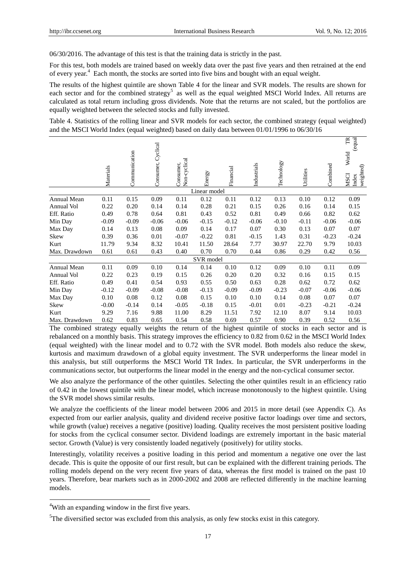06/30/2016. The advantage of this test is that the training data is strictly in the past.

For this test, both models are trained based on weekly data over the past five years and then retrained at the end of every year.<sup>4</sup> Each month, the stocks are sorted into five bins and bought with an equal weight.

The results of the highest quintile are shown Table 4 for the linear and SVR models. The results are shown for each sector and for the combined strategy<sup>5</sup> as well as the equal weighted MSCI World Index. All returns are calculated as total return including gross dividends. Note that the returns are not scaled, but the portfolios are equally weighted between the selected stocks and fully invested.

Table 4. Statistics of the rolling linear and SVR models for each sector, the combined strategy (equal weighted) and the MSCI World Index (equal weighted) based on daily data between 01/01/1996 to 06/30/16

|               | Materials | Communication | Consumer, Cyclical | Non-cyclical<br>Consumer, | Energy       | Financial | Industrials | Technology | Utilities | Combined | TR<br>equal<br>World<br>weighted)<br><b>NSCI</b><br>Index |
|---------------|-----------|---------------|--------------------|---------------------------|--------------|-----------|-------------|------------|-----------|----------|-----------------------------------------------------------|
|               |           |               |                    |                           | Linear model |           |             |            |           |          |                                                           |
| Annual Mean   | 0.11      | 0.15          | 0.09               | 0.11                      | 0.12         | 0.11      | 0.12        | 0.13       | 0.10      | 0.12     | 0.09                                                      |
| Annual Vol    | 0.22      | 0.20          | 0.14               | 0.14                      | 0.28         | 0.21      | 0.15        | 0.26       | 0.16      | 0.14     | 0.15                                                      |
| Eff. Ratio    | 0.49      | 0.78          | 0.64               | 0.81                      | 0.43         | 0.52      | 0.81        | 0.49       | 0.66      | 0.82     | 0.62                                                      |
| Min Day       | $-0.09$   | $-0.09$       | $-0.06$            | $-0.06$                   | $-0.15$      | $-0.12$   | $-0.06$     | $-0.10$    | $-0.11$   | $-0.06$  | $-0.06$                                                   |
| Max Day       | 0.14      | 0.13          | 0.08               | 0.09                      | 0.14         | 0.17      | 0.07        | 0.30       | 0.13      | 0.07     | 0.07                                                      |
| Skew          | 0.39      | 0.36          | 0.01               | $-0.07$                   | $-0.22$      | 0.81      | $-0.15$     | 1.43       | 0.31      | $-0.23$  | $-0.24$                                                   |
| Kurt          | 11.79     | 9.34          | 8.32               | 10.41                     | 11.50        | 28.64     | 7.77        | 30.97      | 22.70     | 9.79     | 10.03                                                     |
| Max. Drawdown | 0.61      | 0.61          | 0.43               | 0.40                      | 0.70         | 0.70      | 0.44        | 0.86       | 0.29      | 0.42     | 0.56                                                      |
|               |           |               |                    |                           | SVR model    |           |             |            |           |          |                                                           |
| Annual Mean   | 0.11      | 0.09          | 0.10               | 0.14                      | 0.14         | 0.10      | 0.12        | 0.09       | 0.10      | 0.11     | 0.09                                                      |
| Annual Vol    | 0.22      | 0.23          | 0.19               | 0.15                      | 0.26         | 0.20      | 0.20        | 0.32       | 0.16      | 0.15     | 0.15                                                      |
| Eff. Ratio    | 0.49      | 0.41          | 0.54               | 0.93                      | 0.55         | 0.50      | 0.63        | 0.28       | 0.62      | 0.72     | 0.62                                                      |
| Min Day       | $-0.12$   | $-0.09$       | $-0.08$            | $-0.08$                   | $-0.13$      | $-0.09$   | $-0.09$     | $-0.23$    | $-0.07$   | $-0.06$  | $-0.06$                                                   |
| Max Day       | 0.10      | 0.08          | 0.12               | 0.08                      | 0.15         | 0.10      | 0.10        | 0.14       | 0.08      | 0.07     | 0.07                                                      |
| Skew          | $-0.00$   | $-0.14$       | 0.14               | $-0.05$                   | $-0.18$      | 0.15      | $-0.01$     | 0.01       | $-0.23$   | $-0.21$  | $-0.24$                                                   |
| Kurt          | 9.29      | 7.16          | 9.88               | 11.00                     | 8.29         | 11.51     | 7.92        | 12.10      | 8.07      | 9.14     | 10.03                                                     |
| Max. Drawdown | 0.62      | 0.83          | 0.65               | 0.54                      | 0.58         | 0.69      | 0.57        | 0.90       | 0.39      | 0.52     | 0.56                                                      |

The combined strategy equally weights the return of the highest quintile of stocks in each sector and is rebalanced on a monthly basis. This strategy improves the efficiency to 0.82 from 0.62 in the MSCI World Index (equal weighted) with the linear model and to 0.72 with the SVR model. Both models also reduce the skew, kurtosis and maximum drawdown of a global equity investment. The SVR underperforms the linear model in this analysis, but still outperforms the MSCI World TR Index. In particular, the SVR underperforms in the communications sector, but outperforms the linear model in the energy and the non-cyclical consumer sector.

We also analyze the performance of the other quintiles. Selecting the other quintiles result in an efficiency ratio of 0.42 in the lowest quintile with the linear model, which increase monotonously to the highest quintile. Using the SVR model shows similar results.

We analyze the coefficients of the linear model between 2006 and 2015 in more detail (see Appendix C). As expected from our earlier analysis, quality and dividend receive positive factor loadings over time and sectors, while growth (value) receives a negative (positive) loading. Quality receives the most persistent positive loading for stocks from the cyclical consumer sector. Dividend loadings are extremely important in the basic material sector. Growth (Value) is very consistently loaded negatively (positively) for utility stocks.

Interestingly, volatility receives a positive loading in this period and momentum a negative one over the last decade. This is quite the opposite of our first result, but can be explained with the different training periods. The rolling models depend on the very recent five years of data, whereas the first model is trained on the past 10 years. Therefore, bear markets such as in 2000-2002 and 2008 are reflected differently in the machine learning models.

 $\overline{a}$ 

<sup>&</sup>lt;sup>4</sup>With an expanding window in the first five years.

<sup>&</sup>lt;sup>5</sup>The diversified sector was excluded from this analysis, as only few stocks exist in this category.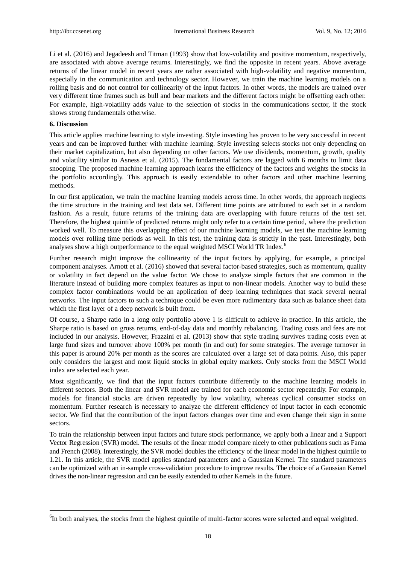Li et al. (2016) and Jegadeesh and Titman (1993) show that low-volatility and positive momentum, respectively, are associated with above average returns. Interestingly, we find the opposite in recent years. Above average returns of the linear model in recent years are rather associated with high-volatility and negative momentum, especially in the communication and technology sector. However, we train the machine learning models on a rolling basis and do not control for collinearity of the input factors. In other words, the models are trained over very different time frames such as bull and bear markets and the different factors might be offsetting each other. For example, high-volatility adds value to the selection of stocks in the communications sector, if the stock shows strong fundamentals otherwise.

#### **6. Discussion**

l

This article applies machine learning to style investing. Style investing has proven to be very successful in recent years and can be improved further with machine learning. Style investing selects stocks not only depending on their market capitalization, but also depending on other factors. We use dividends, momentum, growth, quality and volatility similar to Asness et al. (2015). The fundamental factors are lagged with 6 months to limit data snooping. The proposed machine learning approach learns the efficiency of the factors and weights the stocks in the portfolio accordingly. This approach is easily extendable to other factors and other machine learning methods.

In our first application, we train the machine learning models across time. In other words, the approach neglects the time structure in the training and test data set. Different time points are attributed to each set in a random fashion. As a result, future returns of the training data are overlapping with future returns of the test set. Therefore, the highest quintile of predicted returns might only refer to a certain time period, where the prediction worked well. To measure this overlapping effect of our machine learning models, we test the machine learning models over rolling time periods as well. In this test, the training data is strictly in the past. Interestingly, both analyses show a high outperformance to the equal weighted MSCI World TR Index.<sup>6</sup>

Further research might improve the collinearity of the input factors by applying, for example, a principal component analyses. Arnott et al. (2016) showed that several factor-based strategies, such as momentum, quality or volatility in fact depend on the value factor. We chose to analyze simple factors that are common in the literature instead of building more complex features as input to non-linear models. Another way to build these complex factor combinations would be an application of deep learning techniques that stack several neural networks. The input factors to such a technique could be even more rudimentary data such as balance sheet data which the first layer of a deep network is built from.

Of course, a Sharpe ratio in a long only portfolio above 1 is difficult to achieve in practice. In this article, the Sharpe ratio is based on gross returns, end-of-day data and monthly rebalancing. Trading costs and fees are not included in our analysis. However, Frazzini et al. (2013) show that style trading survives trading costs even at large fund sizes and turnover above 100% per month (in and out) for some strategies. The average turnover in this paper is around 20% per month as the scores are calculated over a large set of data points. Also, this paper only considers the largest and most liquid stocks in global equity markets. Only stocks from the MSCI World index are selected each year.

Most significantly, we find that the input factors contribute differently to the machine learning models in different sectors. Both the linear and SVR model are trained for each economic sector repeatedly. For example, models for financial stocks are driven repeatedly by low volatility, whereas cyclical consumer stocks on momentum. Further research is necessary to analyze the different efficiency of input factor in each economic sector. We find that the contribution of the input factors changes over time and even change their sign in some sectors.

To train the relationship between input factors and future stock performance, we apply both a linear and a Support Vector Regression (SVR) model. The results of the linear model compare nicely to other publications such as Fama and French (2008). Interestingly, the SVR model doubles the efficiency of the linear model in the highest quintile to 1.21. In this article, the SVR model applies standard parameters and a Gaussian Kernel. The standard parameters can be optimized with an in-sample cross-validation procedure to improve results. The choice of a Gaussian Kernel drives the non-linear regression and can be easily extended to other Kernels in the future.

<sup>&</sup>lt;sup>6</sup>In both analyses, the stocks from the highest quintile of multi-factor scores were selected and equal weighted.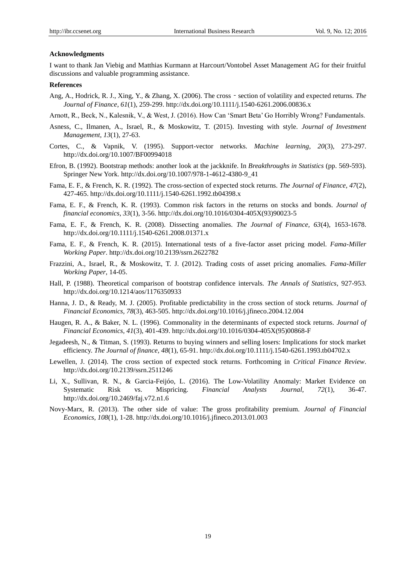#### **Acknowledgments**

I want to thank Jan Viebig and Matthias Kurmann at Harcourt/Vontobel Asset Management AG for their fruitful discussions and valuable programming assistance.

#### **References**

- Ang, A., Hodrick, R. J., Xing, Y., & Zhang, X. (2006). The cross section of volatility and expected returns. *The Journal of Finance*, *61*(1), 259-299[. http://dx.doi.org/10.1111/j.1540-6261.2006.00836.x](http://dx.doi.org/10.1111/j.1540-6261.2006.00836.x)
- Arnott, R., Beck, N., Kalesnik, V., & West, J. (2016). How Can "Smart Beta" Go Horribly Wrong? Fundamentals.
- Asness, C., Ilmanen, A., Israel, R., & Moskowitz, T. (2015). Investing with style. *Journal of Investment Management, 13*(1), 27-63.
- Cortes, C., & Vapnik, V. (1995). Support-vector networks. *Machine learning, 20*(3), 273-297. <http://dx.doi.org/10.1007/BF00994018>
- Efron, B. (1992). Bootstrap methods: another look at the jackknife. In *Breakthroughs in Statistics* (pp. 569-593). Springer New York. [http://dx.doi.org/10.1007/978-1-4612-4380-9\\_41](http://dx.doi.org/10.1007/978-1-4612-4380-9_41)
- Fama, E. F., & French, K. R. (1992). The cross-section of expected stock returns. *The Journal of Finance, 47*(2), 427-465.<http://dx.doi.org/10.1111/j.1540-6261.1992.tb04398.x>
- Fama, E. F., & French, K. R. (1993). Common risk factors in the returns on stocks and bonds. *Journal of financial economics, 33*(1), 3-56. [http://dx.doi.org/10.1016/0304-405X\(93\)90023-5](http://dx.doi.org/10.1016/0304-405X%2893%2990023-5)
- Fama, E. F., & French, K. R. (2008). Dissecting anomalies. *The Journal of Finance, 63*(4), 1653-1678. <http://dx.doi.org/10.1111/j.1540-6261.2008.01371.x>
- Fama, E. F., & French, K. R. (2015). International tests of a five-factor asset pricing model. *Fama-Miller Working Paper*.<http://dx.doi.org/10.2139/ssrn.2622782>
- Frazzini, A., Israel, R., & Moskowitz, T. J. (2012). Trading costs of asset pricing anomalies. *Fama-Miller Working Paper*, 14-05.
- Hall, P. (1988). Theoretical comparison of bootstrap confidence intervals. *The Annals of Statistics*, 927-953. <http://dx.doi.org/10.1214/aos/1176350933>
- Hanna, J. D., & Ready, M. J. (2005). Profitable predictability in the cross section of stock returns. *Journal of Financial Economics, 78*(3), 463-505.<http://dx.doi.org/10.1016/j.jfineco.2004.12.004>
- Haugen, R. A., & Baker, N. L. (1996). Commonality in the determinants of expected stock returns. *Journal of Financial Economics, 41*(3), 401-439. [http://dx.doi.org/10.1016/0304-405X\(95\)00868-F](http://dx.doi.org/10.1016/0304-405X%2895%2900868-F)
- Jegadeesh, N., & Titman, S. (1993). Returns to buying winners and selling losers: Implications for stock market efficiency. *The Journal of finance, 48*(1), 65-91.<http://dx.doi.org/10.1111/j.1540-6261.1993.tb04702.x>
- Lewellen, J. (2014). The cross section of expected stock returns. Forthcoming in *Critical Finance Review*. <http://dx.doi.org/10.2139/ssrn.2511246>
- Li, X., Sullivan, R. N., & Garcia-Feijóo, L. (2016). The Low-Volatility Anomaly: Market Evidence on Systematic Risk vs. Mispricing. *Financial Analysts Journal, 72*(1), 36-47. <http://dx.doi.org/10.2469/faj.v72.n1.6>
- Novy-Marx, R. (2013). The other side of value: The gross profitability premium. *Journal of Financial Economics, 108*(1), 1-28.<http://dx.doi.org/10.1016/j.jfineco.2013.01.003>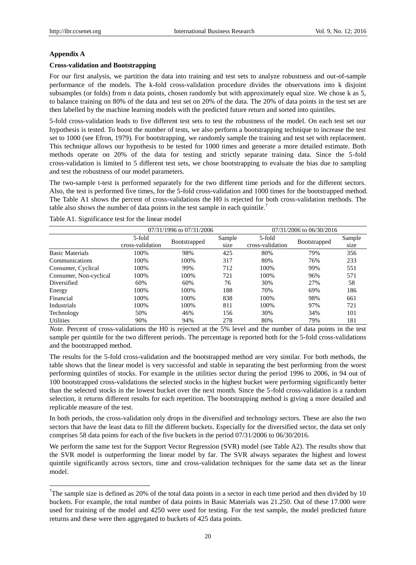#### **Appendix A**

l

#### **Cross-validation and Bootstrapping**

For our first analysis, we partition the data into training and test sets to analyze robustness and out-of-sample performance of the models. The k-fold cross-validation procedure divides the observations into k disjoint subsamples (or folds) from n data points, chosen randomly but with approximately equal size. We chose k as 5, to balance training on 80% of the data and test set on 20% of the data. The 20% of data points in the test set are then labelled by the machine learning models with the predicted future return and sorted into quintiles.

5-fold cross-validation leads to five different test sets to test the robustness of the model. On each test set our hypothesis is tested. To boost the number of tests, we also perform a bootstrapping technique to increase the test set to 1000 (see Efron, 1979). For bootstrapping, we randomly sample the training and test set with replacement. This technique allows our hypothesis to be tested for 1000 times and generate a more detailed estimate. Both methods operate on 20% of the data for testing and strictly separate training data. Since the 5-fold cross-validation is limited to 5 different test sets, we chose bootstrapping to evaluate the bias due to sampling and test the robustness of our model parameters.

The two-sample t-test is performed separately for the two different time periods and for the different sectors. Also, the test is performed five times, for the 5-fold cross-validation and 1000 times for the bootstrapped method. The Table A1 shows the percent of cross-validations the H0 is rejected for both cross-validation methods. The table also shows the number of data points in the test sample in each quintile.<sup>7</sup>

|                        |                            | 07/31/1996 to 07/31/2006 |                | 07/31/2006 to 06/30/2016   |              |                |  |
|------------------------|----------------------------|--------------------------|----------------|----------------------------|--------------|----------------|--|
|                        | 5-fold<br>cross-validation | Bootstrapped             | Sample<br>size | 5-fold<br>cross-validation | Bootstrapped | Sample<br>size |  |
| <b>Basic Materials</b> | 100%                       | 98%                      | 425            | 80%                        | 79%          | 356            |  |
| Communications         | 100%                       | 100%                     | 317            | 80%                        | 76%          | 233            |  |
| Consumer, Cyclical     | 100%                       | 99%                      | 712            | 100%                       | 99%          | 551            |  |
| Consumer, Non-cyclical | 100%                       | 100%                     | 721            | 100%                       | 96%          | 571            |  |
| Diversified            | 60%                        | 60%                      | 76             | 30%                        | 27%          | 58             |  |
| Energy                 | 100%                       | 100%                     | 188            | 70%                        | 69%          | 186            |  |
| Financial              | 100%                       | 100%                     | 838            | 100%                       | 98%          | 661            |  |
| Industrials            | 100%                       | 100%                     | 811            | 100%                       | 97%          | 721            |  |
| Technology             | 50%                        | 46%                      | 156            | 30%                        | 34%          | 101            |  |
| <b>Utilities</b>       | 90%                        | 94%                      | 278            | 80%                        | 79%          | 181            |  |

Table A1. Significance test for the linear model

*Note.* Percent of cross-validations the H0 is rejected at the 5% level and the number of data points in the test sample per quintile for the two different periods. The percentage is reported both for the 5-fold cross-validations and the bootstrapped method.

The results for the 5-fold cross-validation and the bootstrapped method are very similar. For both methods, the table shows that the linear model is very successful and stable in separating the best performing from the worst performing quintiles of stocks. For example in the utilities sector during the period 1996 to 2006, in 94 out of 100 bootstrapped cross-validations the selected stocks in the highest bucket were performing significantly better than the selected stocks in the lowest bucket over the next month. Since the 5-fold cross-validation is a random selection, it returns different results for each repetition. The bootstrapping method is giving a more detailed and replicable measure of the test.

In both periods, the cross-validation only drops in the diversified and technology sectors. These are also the two sectors that have the least data to fill the different buckets. Especially for the diversified sector, the data set only comprises 58 data points for each of the five buckets in the period 07/31/2006 to 06/30/2016.

We perform the same test for the Support Vector Regression (SVR) model (see Table A2). The results show that the SVR model is outperforming the linear model by far. The SVR always separates the highest and lowest quintile significantly across sectors, time and cross-validation techniques for the same data set as the linear model.

<sup>&</sup>lt;sup>7</sup>The sample size is defined as 20% of the total data points in a sector in each time period and then divided by 10 buckets. For example, the total number of data points in Basic Materials was 21.250. Out of these 17.000 were used for training of the model and 4250 were used for testing. For the test sample, the model predicted future returns and these were then aggregated to buckets of 425 data points.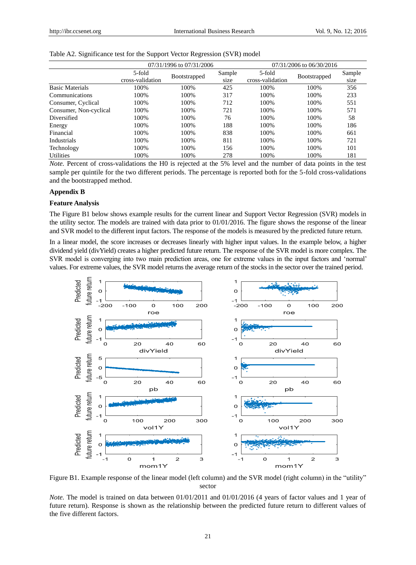|                        |                            | 07/31/1996 to 07/31/2006 |                | 07/31/2006 to 06/30/2016   |                     |                |  |  |
|------------------------|----------------------------|--------------------------|----------------|----------------------------|---------------------|----------------|--|--|
|                        | 5-fold<br>cross-validation | Bootstrapped             | Sample<br>size | 5-fold<br>cross-validation | <b>Bootstrapped</b> | Sample<br>size |  |  |
| <b>Basic Materials</b> | 100%                       | 100%                     | 425            | 100%                       | 100%                | 356            |  |  |
| Communications         | 100%                       | 100\%                    | 317            | 100%                       | 100%                | 233            |  |  |
| Consumer, Cyclical     | 100%                       | 100%                     | 712            | 100%                       | 100%                | 551            |  |  |
| Consumer, Non-cyclical | 100%                       | 100\%                    | 721            | 100%                       | 100%                | 571            |  |  |
| Diversified            | 100%                       | 100\%                    | 76             | 100%                       | 100%                | 58             |  |  |
| Energy                 | 100%                       | 100\%                    | 188            | 100%                       | 100%                | 186            |  |  |
| Financial              | 100%                       | 100%                     | 838            | 100%                       | 100%                | 661            |  |  |
| Industrials            | 100%                       | 100\%                    | 811            | 100%                       | 100%                | 721            |  |  |
| Technology             | 100%                       | 100\%                    | 156            | 100%                       | 100%                | 101            |  |  |
| <b>Utilities</b>       | 100%                       | 100%                     | 278            | 100%                       | 100%                | 181            |  |  |

#### Table A2. Significance test for the Support Vector Regression (SVR) model

*Note.* Percent of cross-validations the H0 is rejected at the 5% level and the number of data points in the test sample per quintile for the two different periods. The percentage is reported both for the 5-fold cross-validations and the bootstrapped method.

#### **Appendix B**

#### **Feature Analysis**

The Figure B1 below shows example results for the current linear and Support Vector Regression (SVR) models in the utility sector. The models are trained with data prior to 01/01/2016. The figure shows the response of the linear and SVR model to the different input factors. The response of the models is measured by the predicted future return.

In a linear model, the score increases or decreases linearly with higher input values. In the example below, a higher dividend yield (divYield) creates a higher predicted future return. The response of the SVR model is more complex. The SVR model is converging into two main prediction areas, one for extreme values in the input factors and "normal" values. For extreme values, the SVR model returns the average return of the stocks in the sector over the trained period.



Figure B1. Example response of the linear model (left column) and the SVR model (right column) in the "utility" sector

*Note.* The model is trained on data between  $01/01/2011$  and  $01/01/2016$  (4 years of factor values and 1 year of future return). Response is shown as the relationship between the predicted future return to different values of the five different factors.